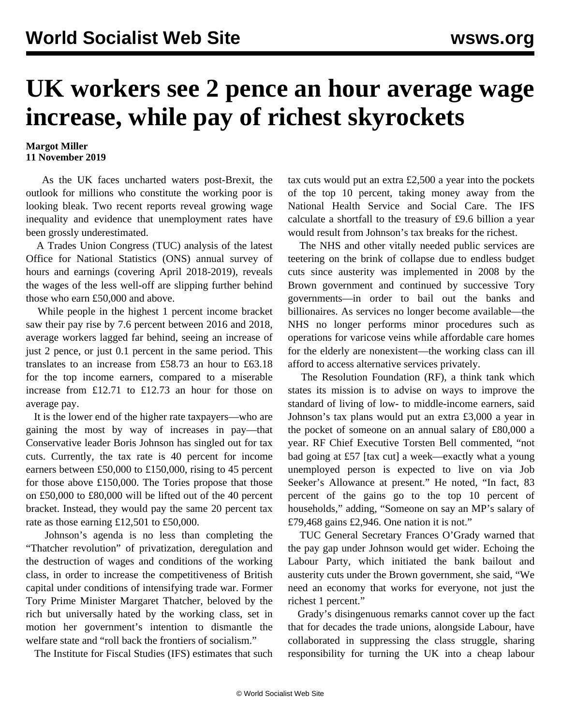## **UK workers see 2 pence an hour average wage increase, while pay of richest skyrockets**

## **Margot Miller 11 November 2019**

 As the UK faces uncharted waters post-Brexit, the outlook for millions who constitute the working poor is looking bleak. Two recent reports reveal growing wage inequality and evidence that unemployment rates have been grossly underestimated.

 A Trades Union Congress (TUC) analysis of the latest Office for National Statistics (ONS) annual survey of hours and earnings (covering April 2018-2019), reveals the wages of the less well-off are slipping further behind those who earn £50,000 and above.

 While people in the highest 1 percent income bracket saw their pay rise by 7.6 percent between 2016 and 2018, average workers lagged far behind, seeing an increase of just 2 pence, or just 0.1 percent in the same period. This translates to an increase from £58.73 an hour to £63.18 for the top income earners, compared to a miserable increase from £12.71 to £12.73 an hour for those on average pay.

 It is the lower end of the higher rate taxpayers—who are gaining the most by way of increases in pay—that Conservative leader Boris Johnson has singled out for tax cuts. Currently, the tax rate is 40 percent for income earners between £50,000 to £150,000, rising to 45 percent for those above £150,000. The Tories propose that those on £50,000 to £80,000 will be lifted out of the 40 percent bracket. Instead, they would pay the same 20 percent tax rate as those earning £12,501 to £50,000.

 Johnson's agenda is no less than completing the "Thatcher revolution" of privatization, deregulation and the destruction of wages and conditions of the working class, in order to increase the competitiveness of British capital under conditions of intensifying trade war. Former Tory Prime Minister Margaret Thatcher, beloved by the rich but universally hated by the working class, set in motion her government's intention to dismantle the welfare state and "roll back the frontiers of socialism."

The Institute for Fiscal Studies (IFS) estimates that such

tax cuts would put an extra £2,500 a year into the pockets of the top 10 percent, taking money away from the National Health Service and Social Care. The IFS calculate a shortfall to the treasury of £9.6 billion a year would result from Johnson's tax breaks for the richest.

 The NHS and other vitally needed public services are teetering on the brink of collapse due to endless budget cuts since austerity was implemented in 2008 by the Brown government and continued by successive Tory governments—in order to bail out the banks and billionaires. As services no longer become available—the NHS no longer performs minor procedures such as operations for varicose veins while affordable care homes for the elderly are nonexistent—the working class can ill afford to access alternative services privately.

 The Resolution Foundation (RF), a think tank which states its mission is to advise on ways to improve the standard of living of low- to middle-income earners, said Johnson's tax plans would put an extra £3,000 a year in the pocket of someone on an annual salary of £80,000 a year. RF Chief Executive Torsten Bell commented, "not bad going at £57 [tax cut] a week—exactly what a young unemployed person is expected to live on via Job Seeker's Allowance at present." He noted, "In fact, 83 percent of the gains go to the top 10 percent of households," adding, "Someone on say an MP's salary of £79,468 gains £2,946. One nation it is not."

 TUC General Secretary Frances O'Grady warned that the pay gap under Johnson would get wider. Echoing the Labour Party, which initiated the bank bailout and austerity cuts under the Brown government, she said, "We need an economy that works for everyone, not just the richest 1 percent."

 Grady's disingenuous remarks cannot cover up the fact that for decades the trade unions, alongside Labour, have collaborated in suppressing the class struggle, sharing responsibility for turning the UK into a cheap labour